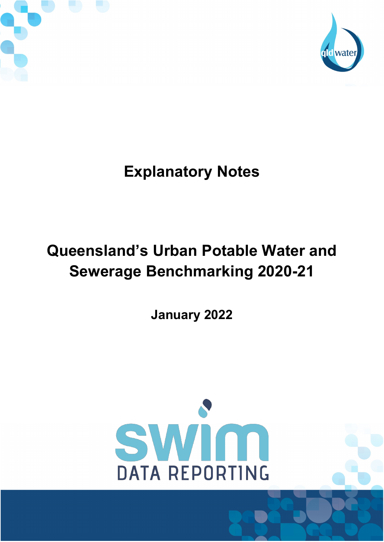



# **Explanatory Notes**

# **Queensland's Urban Potable Water and Sewerage Benchmarking 2020-21**

**January 2022**

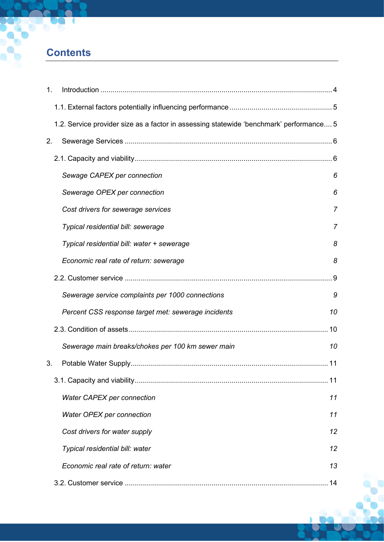# **Contents**

| 1.                                                                                      |     |
|-----------------------------------------------------------------------------------------|-----|
|                                                                                         |     |
| 1.2. Service provider size as a factor in assessing statewide 'benchmark' performance 5 |     |
| 2.                                                                                      |     |
|                                                                                         |     |
| Sewage CAPEX per connection                                                             | 6   |
| Sewerage OPEX per connection                                                            | 6   |
| Cost drivers for sewerage services                                                      | 7   |
| Typical residential bill: sewerage                                                      | 7   |
| Typical residential bill: water + sewerage                                              | 8   |
| Economic real rate of return: sewerage                                                  | 8   |
|                                                                                         | . 9 |
| Sewerage service complaints per 1000 connections                                        | 9   |
| Percent CSS response target met: sewerage incidents                                     | 10  |
|                                                                                         |     |
| Sewerage main breaks/chokes per 100 km sewer main                                       | 10  |
| 3.                                                                                      | 11  |
|                                                                                         |     |
| Water CAPEX per connection                                                              | 11  |
| Water OPEX per connection                                                               | 11  |
| Cost drivers for water supply                                                           | 12  |
| Typical residential bill: water                                                         | 12  |
| Economic real rate of return: water                                                     | 13  |
|                                                                                         | 14  |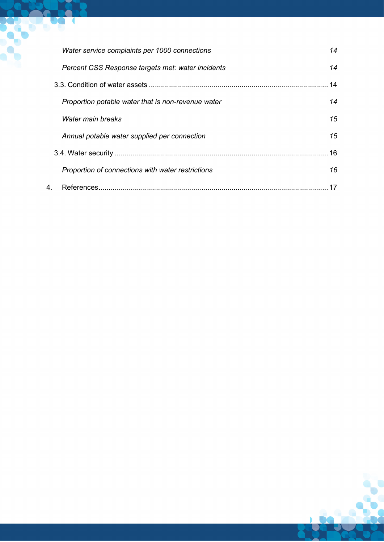|   | Water service complaints per 1000 connections      | 14 |
|---|----------------------------------------------------|----|
|   | Percent CSS Response targets met: water incidents  | 14 |
|   |                                                    | 14 |
|   | Proportion potable water that is non-revenue water | 14 |
|   | Water main breaks                                  | 15 |
|   | Annual potable water supplied per connection       | 15 |
|   |                                                    | 16 |
|   | Proportion of connections with water restrictions  | 16 |
| 4 |                                                    |    |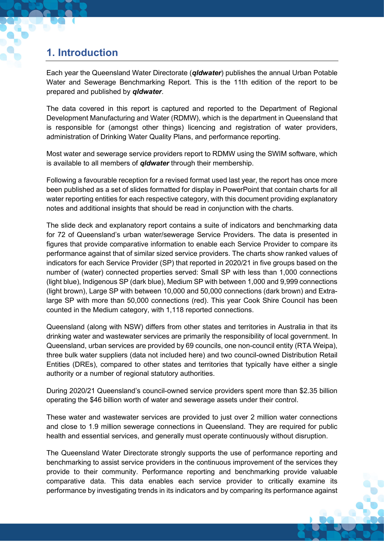# <span id="page-3-0"></span>**1. Introduction**

Each year the Queensland Water Directorate (*qldwater*) publishes the annual Urban Potable Water and Sewerage Benchmarking Report. This is the 11th edition of the report to be prepared and published by *qldwater*.

The data covered in this report is captured and reported to the Department of Regional Development Manufacturing and Water (RDMW), which is the department in Queensland that is responsible for (amongst other things) licencing and registration of water providers, administration of Drinking Water Quality Plans, and performance reporting.

Most water and sewerage service providers report to RDMW using the SWIM software, which is available to all members of *qldwater* through their membership.

Following a favourable reception for a revised format used last year, the report has once more been published as a set of slides formatted for display in PowerPoint that contain charts for all water reporting entities for each respective category, with this document providing explanatory notes and additional insights that should be read in conjunction with the charts.

The slide deck and explanatory report contains a suite of indicators and benchmarking data for 72 of Queensland's urban water/sewerage Service Providers. The data is presented in figures that provide comparative information to enable each Service Provider to compare its performance against that of similar sized service providers. The charts show ranked values of indicators for each Service Provider (SP) that reported in 2020/21 in five groups based on the number of (water) connected properties served: Small SP with less than 1,000 connections (light blue), Indigenous SP (dark blue), Medium SP with between 1,000 and 9,999 connections (light brown), Large SP with between 10,000 and 50,000 connections (dark brown) and Extralarge SP with more than 50,000 connections (red). This year Cook Shire Council has been counted in the Medium category, with 1,118 reported connections.

Queensland (along with NSW) differs from other states and territories in Australia in that its drinking water and wastewater services are primarily the responsibility of local government. In Queensland, urban services are provided by 69 councils, one non-council entity (RTA Weipa), three bulk water suppliers (data not included here) and two council-owned Distribution Retail Entities (DREs), compared to other states and territories that typically have either a single authority or a number of regional statutory authorities.

During 2020/21 Queensland's council-owned service providers spent more than \$2.35 billion operating the \$46 billion worth of water and sewerage assets under their control.

These water and wastewater services are provided to just over 2 million water connections and close to 1.9 million sewerage connections in Queensland. They are required for public health and essential services, and generally must operate continuously without disruption.

The Queensland Water Directorate strongly supports the use of performance reporting and benchmarking to assist service providers in the continuous improvement of the services they provide to their community. Performance reporting and benchmarking provide valuable comparative data. This data enables each service provider to critically examine its performance by investigating trends in its indicators and by comparing its performance against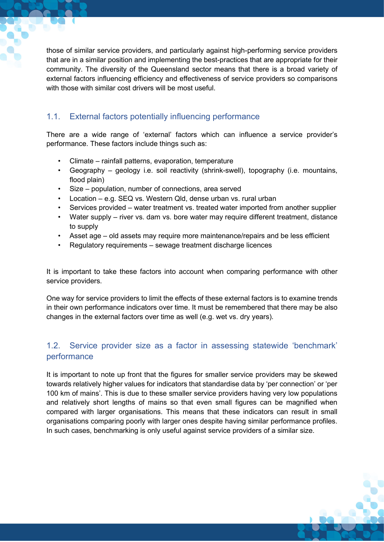those of similar service providers, and particularly against high-performing service providers that are in a similar position and implementing the best-practices that are appropriate for their community. The diversity of the Queensland sector means that there is a broad variety of external factors influencing efficiency and effectiveness of service providers so comparisons with those with similar cost drivers will be most useful.

# <span id="page-4-0"></span>1.1. External factors potentially influencing performance

There are a wide range of 'external' factors which can influence a service provider's performance. These factors include things such as:

- Climate rainfall patterns, evaporation, temperature
- Geography geology i.e. soil reactivity (shrink-swell), topography (i.e. mountains, flood plain)
- Size population, number of connections, area served
- Location e.g. SEQ vs. Western Qld, dense urban vs. rural urban
- Services provided water treatment vs. treated water imported from another supplier
- Water supply river vs. dam vs. bore water may require different treatment, distance to supply
- Asset age old assets may require more maintenance/repairs and be less efficient
- Regulatory requirements sewage treatment discharge licences

It is important to take these factors into account when comparing performance with other service providers.

One way for service providers to limit the effects of these external factors is to examine trends in their own performance indicators over time. It must be remembered that there may be also changes in the external factors over time as well (e.g. wet vs. dry years).

# <span id="page-4-1"></span>1.2. Service provider size as a factor in assessing statewide 'benchmark' performance

It is important to note up front that the figures for smaller service providers may be skewed towards relatively higher values for indicators that standardise data by 'per connection' or 'per 100 km of mains'. This is due to these smaller service providers having very low populations and relatively short lengths of mains so that even small figures can be magnified when compared with larger organisations. This means that these indicators can result in small organisations comparing poorly with larger ones despite having similar performance profiles. In such cases, benchmarking is only useful against service providers of a similar size.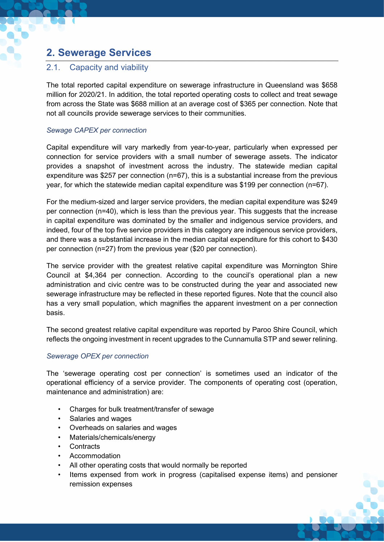# <span id="page-5-0"></span>**2. Sewerage Services**

## <span id="page-5-1"></span>2.1. Capacity and viability

The total reported capital expenditure on sewerage infrastructure in Queensland was \$658 million for 2020/21. In addition, the total reported operating costs to collect and treat sewage from across the State was \$688 million at an average cost of \$365 per connection. Note that not all councils provide sewerage services to their communities.

### <span id="page-5-2"></span>*Sewage CAPEX per connection*

Capital expenditure will vary markedly from year-to-year, particularly when expressed per connection for service providers with a small number of sewerage assets. The indicator provides a snapshot of investment across the industry. The statewide median capital expenditure was \$257 per connection (n=67), this is a substantial increase from the previous year, for which the statewide median capital expenditure was \$199 per connection (n=67).

For the medium-sized and larger service providers, the median capital expenditure was \$249 per connection (n=40), which is less than the previous year. This suggests that the increase in capital expenditure was dominated by the smaller and indigenous service providers, and indeed, four of the top five service providers in this category are indigenous service providers, and there was a substantial increase in the median capital expenditure for this cohort to \$430 per connection (n=27) from the previous year (\$20 per connection).

The service provider with the greatest relative capital expenditure was Mornington Shire Council at \$4,364 per connection. According to the council's operational plan a new administration and civic centre was to be constructed during the year and associated new sewerage infrastructure may be reflected in these reported figures. Note that the council also has a very small population, which magnifies the apparent investment on a per connection basis.

The second greatest relative capital expenditure was reported by Paroo Shire Council, which reflects the ongoing investment in recent upgrades to the Cunnamulla STP and sewer relining.

### <span id="page-5-3"></span>*Sewerage OPEX per connection*

The 'sewerage operating cost per connection' is sometimes used an indicator of the operational efficiency of a service provider. The components of operating cost (operation, maintenance and administration) are:

- Charges for bulk treatment/transfer of sewage
- Salaries and wages
- Overheads on salaries and wages
- Materials/chemicals/energy
- **Contracts**
- Accommodation
- All other operating costs that would normally be reported
- Items expensed from work in progress (capitalised expense items) and pensioner remission expenses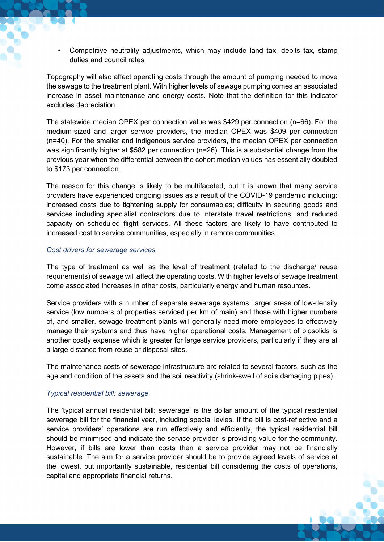• Competitive neutrality adjustments, which may include land tax, debits tax, stamp duties and council rates.

Topography will also affect operating costs through the amount of pumping needed to move the sewage to the treatment plant. With higher levels of sewage pumping comes an associated increase in asset maintenance and energy costs. Note that the definition for this indicator excludes depreciation.

The statewide median OPEX per connection value was \$429 per connection (n=66). For the medium-sized and larger service providers, the median OPEX was \$409 per connection (n=40). For the smaller and indigenous service providers, the median OPEX per connection was significantly higher at \$582 per connection (n=26). This is a substantial change from the previous year when the differential between the cohort median values has essentially doubled to \$173 per connection.

The reason for this change is likely to be multifaceted, but it is known that many service providers have experienced ongoing issues as a result of the COVID-19 pandemic including: increased costs due to tightening supply for consumables; difficulty in securing goods and services including specialist contractors due to interstate travel restrictions; and reduced capacity on scheduled flight services. All these factors are likely to have contributed to increased cost to service communities, especially in remote communities.

### <span id="page-6-0"></span>*Cost drivers for sewerage services*

The type of treatment as well as the level of treatment (related to the discharge/ reuse requirements) of sewage will affect the operating costs. With higher levels of sewage treatment come associated increases in other costs, particularly energy and human resources.

Service providers with a number of separate sewerage systems, larger areas of low-density service (low numbers of properties serviced per km of main) and those with higher numbers of, and smaller, sewage treatment plants will generally need more employees to effectively manage their systems and thus have higher operational costs. Management of biosolids is another costly expense which is greater for large service providers, particularly if they are at a large distance from reuse or disposal sites.

The maintenance costs of sewerage infrastructure are related to several factors, such as the age and condition of the assets and the soil reactivity (shrink-swell of soils damaging pipes).

### <span id="page-6-1"></span>*Typical residential bill: sewerage*

The 'typical annual residential bill: sewerage' is the dollar amount of the typical residential sewerage bill for the financial year, including special levies. If the bill is cost-reflective and a service providers' operations are run effectively and efficiently, the typical residential bill should be minimised and indicate the service provider is providing value for the community. However, if bills are lower than costs then a service provider may not be financially sustainable. The aim for a service provider should be to provide agreed levels of service at the lowest, but importantly sustainable, residential bill considering the costs of operations, capital and appropriate financial returns.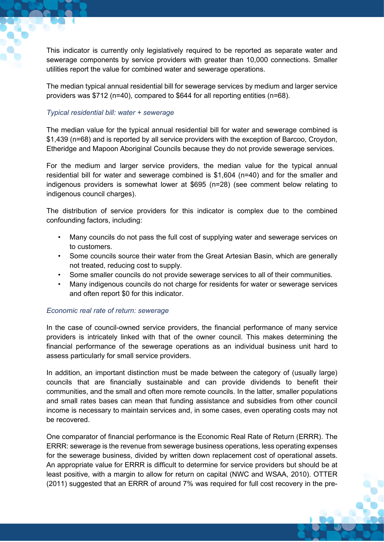This indicator is currently only legislatively required to be reported as separate water and sewerage components by service providers with greater than 10,000 connections. Smaller utilities report the value for combined water and sewerage operations.

The median typical annual residential bill for sewerage services by medium and larger service providers was \$712 (n=40), compared to \$644 for all reporting entities (n=68).

### <span id="page-7-0"></span>*Typical residential bill: water + sewerage*

The median value for the typical annual residential bill for water and sewerage combined is \$1,439 (n=68) and is reported by all service providers with the exception of Barcoo, Croydon, Etheridge and Mapoon Aboriginal Councils because they do not provide sewerage services.

For the medium and larger service providers, the median value for the typical annual residential bill for water and sewerage combined is \$1,604 (n=40) and for the smaller and indigenous providers is somewhat lower at \$695 (n=28) (see comment below relating to indigenous council charges).

The distribution of service providers for this indicator is complex due to the combined confounding factors, including:

- Many councils do not pass the full cost of supplying water and sewerage services on to customers.
- Some councils source their water from the Great Artesian Basin, which are generally not treated, reducing cost to supply.
- Some smaller councils do not provide sewerage services to all of their communities.
- Many indigenous councils do not charge for residents for water or sewerage services and often report \$0 for this indicator.

### <span id="page-7-1"></span>*Economic real rate of return: sewerage*

In the case of council-owned service providers, the financial performance of many service providers is intricately linked with that of the owner council. This makes determining the financial performance of the sewerage operations as an individual business unit hard to assess particularly for small service providers.

In addition, an important distinction must be made between the category of (usually large) councils that are financially sustainable and can provide dividends to benefit their communities, and the small and often more remote councils. In the latter, smaller populations and small rates bases can mean that funding assistance and subsidies from other council income is necessary to maintain services and, in some cases, even operating costs may not be recovered.

One comparator of financial performance is the Economic Real Rate of Return (ERRR). The ERRR: sewerage is the revenue from sewerage business operations, less operating expenses for the sewerage business, divided by written down replacement cost of operational assets. An appropriate value for ERRR is difficult to determine for service providers but should be at least positive, with a margin to allow for return on capital (NWC and WSAA, 2010). OTTER (2011) suggested that an ERRR of around 7% was required for full cost recovery in the pre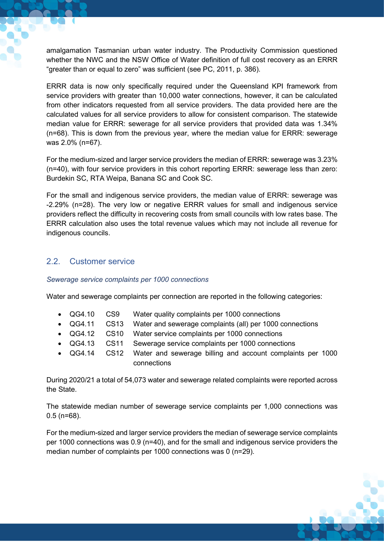amalgamation Tasmanian urban water industry. The Productivity Commission questioned whether the NWC and the NSW Office of Water definition of full cost recovery as an ERRR "greater than or equal to zero" was sufficient (see PC, 2011, p. 386).

ERRR data is now only specifically required under the Queensland KPI framework from service providers with greater than 10,000 water connections, however, it can be calculated from other indicators requested from all service providers. The data provided here are the calculated values for all service providers to allow for consistent comparison. The statewide median value for ERRR: sewerage for all service providers that provided data was 1.34% (n=68). This is down from the previous year, where the median value for ERRR: sewerage was 2.0% (n=67).

For the medium-sized and larger service providers the median of ERRR: sewerage was 3.23% (n=40), with four service providers in this cohort reporting ERRR: sewerage less than zero: Burdekin SC, RTA Weipa, Banana SC and Cook SC.

For the small and indigenous service providers, the median value of ERRR: sewerage was -2.29% (n=28). The very low or negative ERRR values for small and indigenous service providers reflect the difficulty in recovering costs from small councils with low rates base. The ERRR calculation also uses the total revenue values which may not include all revenue for indigenous councils.

# <span id="page-8-0"></span>2.2. Customer service

### <span id="page-8-1"></span>*Sewerage service complaints per 1000 connections*

Water and sewerage complaints per connection are reported in the following categories:

- QG4.10 CS9 Water quality complaints per 1000 connections
- QG4.11 CS13 Water and sewerage complaints (all) per 1000 connections
- QG4.12 CS10 Water service complaints per 1000 connections
- QG4.13 CS11 Sewerage service complaints per 1000 connections
- QG4.14 CS12 Water and sewerage billing and account complaints per 1000 connections

During 2020/21 a total of 54,073 water and sewerage related complaints were reported across the State.

The statewide median number of sewerage service complaints per 1,000 connections was 0.5 (n=68).

For the medium-sized and larger service providers the median of sewerage service complaints per 1000 connections was 0.9 (n=40), and for the small and indigenous service providers the median number of complaints per 1000 connections was 0 (n=29).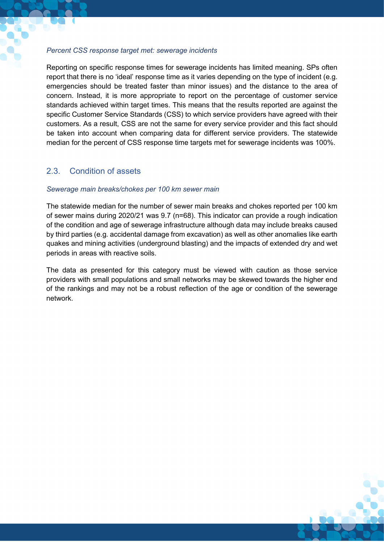#### <span id="page-9-0"></span>*Percent CSS response target met: sewerage incidents*

Reporting on specific response times for sewerage incidents has limited meaning. SPs often report that there is no 'ideal' response time as it varies depending on the type of incident (e.g. emergencies should be treated faster than minor issues) and the distance to the area of concern. Instead, it is more appropriate to report on the percentage of customer service standards achieved within target times. This means that the results reported are against the specific Customer Service Standards (CSS) to which service providers have agreed with their customers. As a result, CSS are not the same for every service provider and this fact should be taken into account when comparing data for different service providers. The statewide median for the percent of CSS response time targets met for sewerage incidents was 100%.

### <span id="page-9-1"></span>2.3. Condition of assets

#### <span id="page-9-2"></span>*Sewerage main breaks/chokes per 100 km sewer main*

The statewide median for the number of sewer main breaks and chokes reported per 100 km of sewer mains during 2020/21 was 9.7 (n=68). This indicator can provide a rough indication of the condition and age of sewerage infrastructure although data may include breaks caused by third parties (e.g. accidental damage from excavation) as well as other anomalies like earth quakes and mining activities (underground blasting) and the impacts of extended dry and wet periods in areas with reactive soils.

The data as presented for this category must be viewed with caution as those service providers with small populations and small networks may be skewed towards the higher end of the rankings and may not be a robust reflection of the age or condition of the sewerage network.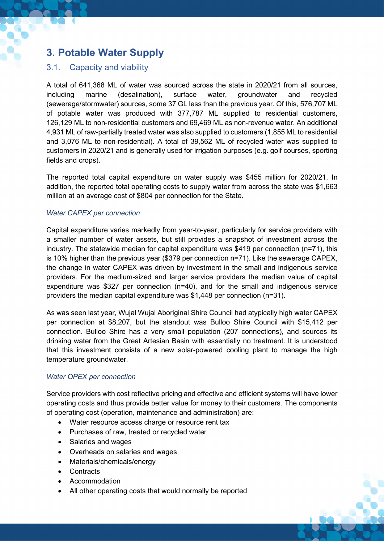# <span id="page-10-0"></span>**3. Potable Water Supply**

# <span id="page-10-1"></span>3.1. Capacity and viability

A total of 641,368 ML of water was sourced across the state in 2020/21 from all sources, including marine (desalination), surface water, groundwater and recycled (sewerage/stormwater) sources, some 37 GL less than the previous year. Of this, 576,707 ML of potable water was produced with 377,787 ML supplied to residential customers, 126,129 ML to non-residential customers and 69,469 ML as non-revenue water. An additional 4,931 ML of raw-partially treated water was also supplied to customers (1,855 ML to residential and 3,076 ML to non-residential). A total of 39,562 ML of recycled water was supplied to customers in 2020/21 and is generally used for irrigation purposes (e.g. golf courses, sporting fields and crops).

The reported total capital expenditure on water supply was \$455 million for 2020/21. In addition, the reported total operating costs to supply water from across the state was \$1,663 million at an average cost of \$804 per connection for the State.

### <span id="page-10-2"></span>*Water CAPEX per connection*

Capital expenditure varies markedly from year-to-year, particularly for service providers with a smaller number of water assets, but still provides a snapshot of investment across the industry. The statewide median for capital expenditure was \$419 per connection (n=71), this is 10% higher than the previous year (\$379 per connection n=71). Like the sewerage CAPEX, the change in water CAPEX was driven by investment in the small and indigenous service providers. For the medium-sized and larger service providers the median value of capital expenditure was \$327 per connection (n=40), and for the small and indigenous service providers the median capital expenditure was \$1,448 per connection (n=31).

As was seen last year, Wujal Wujal Aboriginal Shire Council had atypically high water CAPEX per connection at \$8,207, but the standout was Bulloo Shire Council with \$15,412 per connection. Bulloo Shire has a very small population (207 connections), and sources its drinking water from the Great Artesian Basin with essentially no treatment. It is understood that this investment consists of a new solar-powered cooling plant to manage the high temperature groundwater.

### <span id="page-10-3"></span>*Water OPEX per connection*

Service providers with cost reflective pricing and effective and efficient systems will have lower operating costs and thus provide better value for money to their customers. The components of operating cost (operation, maintenance and administration) are:

- Water resource access charge or resource rent tax
- Purchases of raw, treated or recycled water
- Salaries and wages
- Overheads on salaries and wages
- Materials/chemicals/energy
- Contracts
- Accommodation
- All other operating costs that would normally be reported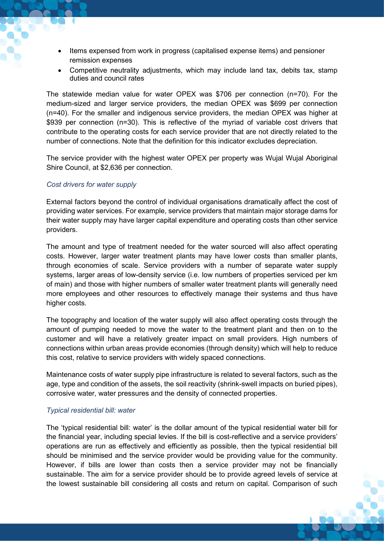- Items expensed from work in progress (capitalised expense items) and pensioner remission expenses
- Competitive neutrality adjustments, which may include land tax, debits tax, stamp duties and council rates

The statewide median value for water OPEX was \$706 per connection (n=70). For the medium-sized and larger service providers, the median OPEX was \$699 per connection (n=40). For the smaller and indigenous service providers, the median OPEX was higher at \$939 per connection (n=30). This is reflective of the myriad of variable cost drivers that contribute to the operating costs for each service provider that are not directly related to the number of connections. Note that the definition for this indicator excludes depreciation.

The service provider with the highest water OPEX per property was Wujal Wujal Aboriginal Shire Council, at \$2,636 per connection.

#### <span id="page-11-0"></span>*Cost drivers for water supply*

External factors beyond the control of individual organisations dramatically affect the cost of providing water services. For example, service providers that maintain major storage dams for their water supply may have larger capital expenditure and operating costs than other service providers.

The amount and type of treatment needed for the water sourced will also affect operating costs. However, larger water treatment plants may have lower costs than smaller plants, through economies of scale. Service providers with a number of separate water supply systems, larger areas of low-density service (i.e. low numbers of properties serviced per km of main) and those with higher numbers of smaller water treatment plants will generally need more employees and other resources to effectively manage their systems and thus have higher costs.

The topography and location of the water supply will also affect operating costs through the amount of pumping needed to move the water to the treatment plant and then on to the customer and will have a relatively greater impact on small providers. High numbers of connections within urban areas provide economies (through density) which will help to reduce this cost, relative to service providers with widely spaced connections.

Maintenance costs of water supply pipe infrastructure is related to several factors, such as the age, type and condition of the assets, the soil reactivity (shrink-swell impacts on buried pipes), corrosive water, water pressures and the density of connected properties.

#### <span id="page-11-1"></span>*Typical residential bill: water*

The 'typical residential bill: water' is the dollar amount of the typical residential water bill for the financial year, including special levies. If the bill is cost-reflective and a service providers' operations are run as effectively and efficiently as possible, then the typical residential bill should be minimised and the service provider would be providing value for the community. However, if bills are lower than costs then a service provider may not be financially sustainable. The aim for a service provider should be to provide agreed levels of service at the lowest sustainable bill considering all costs and return on capital. Comparison of such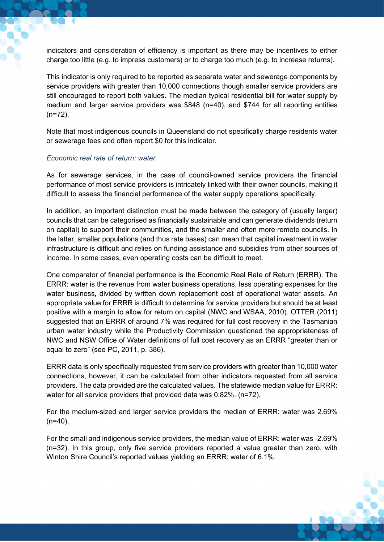indicators and consideration of efficiency is important as there may be incentives to either charge too little (e.g. to impress customers) or to charge too much (e.g. to increase returns).

This indicator is only required to be reported as separate water and sewerage components by service providers with greater than 10,000 connections though smaller service providers are still encouraged to report both values. The median typical residential bill for water supply by medium and larger service providers was \$848 (n=40), and \$744 for all reporting entities (n=72).

Note that most indigenous councils in Queensland do not specifically charge residents water or sewerage fees and often report \$0 for this indicator.

### <span id="page-12-0"></span>*Economic real rate of return: water*

As for sewerage services, in the case of council-owned service providers the financial performance of most service providers is intricately linked with their owner councils, making it difficult to assess the financial performance of the water supply operations specifically.

In addition, an important distinction must be made between the category of (usually larger) councils that can be categorised as financially sustainable and can generate dividends (return on capital) to support their communities, and the smaller and often more remote councils. In the latter, smaller populations (and thus rate bases) can mean that capital investment in water infrastructure is difficult and relies on funding assistance and subsidies from other sources of income. In some cases, even operating costs can be difficult to meet.

One comparator of financial performance is the Economic Real Rate of Return (ERRR). The ERRR: water is the revenue from water business operations, less operating expenses for the water business, divided by written down replacement cost of operational water assets. An appropriate value for ERRR is difficult to determine for service providers but should be at least positive with a margin to allow for return on capital (NWC and WSAA, 2010). OTTER (2011) suggested that an ERRR of around 7% was required for full cost recovery in the Tasmanian urban water industry while the Productivity Commission questioned the appropriateness of NWC and NSW Office of Water definitions of full cost recovery as an ERRR "greater than or equal to zero" (see PC, 2011, p. 386).

ERRR data is only specifically requested from service providers with greater than 10,000 water connections, however, it can be calculated from other indicators requested from all service providers. The data provided are the calculated values. The statewide median value for ERRR: water for all service providers that provided data was 0.82%. (n=72).

For the medium-sized and larger service providers the median of ERRR: water was 2.69%  $(n=40)$ .

For the small and indigenous service providers, the median value of ERRR: water was -2.69% (n=32). In this group, only five service providers reported a value greater than zero, with Winton Shire Council's reported values yielding an ERRR: water of 6.1%.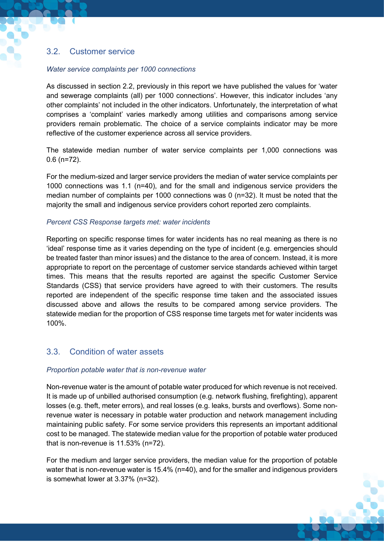# <span id="page-13-0"></span>3.2. Customer service

### <span id="page-13-1"></span>*Water service complaints per 1000 connections*

As discussed in section 2.2, previously in this report we have published the values for 'water and sewerage complaints (all) per 1000 connections'. However, this indicator includes 'any other complaints' not included in the other indicators. Unfortunately, the interpretation of what comprises a 'complaint' varies markedly among utilities and comparisons among service providers remain problematic. The choice of a service complaints indicator may be more reflective of the customer experience across all service providers.

The statewide median number of water service complaints per 1,000 connections was 0.6 (n=72).

For the medium-sized and larger service providers the median of water service complaints per 1000 connections was 1.1 (n=40), and for the small and indigenous service providers the median number of complaints per 1000 connections was 0 (n=32). It must be noted that the majority the small and indigenous service providers cohort reported zero complaints.

### <span id="page-13-2"></span>*Percent CSS Response targets met: water incidents*

Reporting on specific response times for water incidents has no real meaning as there is no 'ideal' response time as it varies depending on the type of incident (e.g. emergencies should be treated faster than minor issues) and the distance to the area of concern. Instead, it is more appropriate to report on the percentage of customer service standards achieved within target times. This means that the results reported are against the specific Customer Service Standards (CSS) that service providers have agreed to with their customers. The results reported are independent of the specific response time taken and the associated issues discussed above and allows the results to be compared among service providers. The statewide median for the proportion of CSS response time targets met for water incidents was 100%.

### <span id="page-13-3"></span>3.3. Condition of water assets

### <span id="page-13-4"></span>*Proportion potable water that is non-revenue water*

Non-revenue water is the amount of potable water produced for which revenue is not received. It is made up of unbilled authorised consumption (e.g. network flushing, firefighting), apparent losses (e.g. theft, meter errors), and real losses (e.g. leaks, bursts and overflows). Some nonrevenue water is necessary in potable water production and network management including maintaining public safety. For some service providers this represents an important additional cost to be managed. The statewide median value for the proportion of potable water produced that is non-revenue is 11.53% (n=72).

For the medium and larger service providers, the median value for the proportion of potable water that is non-revenue water is 15.4% (n=40), and for the smaller and indigenous providers is somewhat lower at 3.37% (n=32).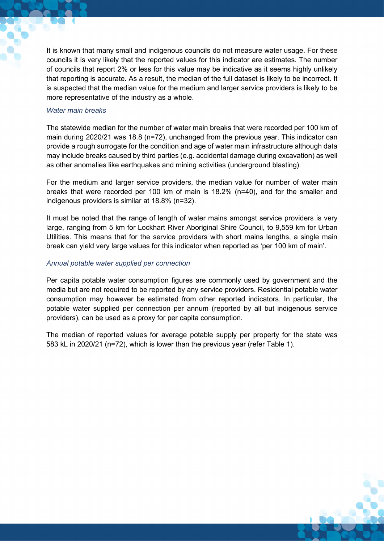It is known that many small and indigenous councils do not measure water usage. For these councils it is very likely that the reported values for this indicator are estimates. The number of councils that report 2% or less for this value may be indicative as it seems highly unlikely that reporting is accurate. As a result, the median of the full dataset is likely to be incorrect. It is suspected that the median value for the medium and larger service providers is likely to be more representative of the industry as a whole.

### <span id="page-14-0"></span>*Water main breaks*

The statewide median for the number of water main breaks that were recorded per 100 km of main during 2020/21 was 18.8 (n=72), unchanged from the previous year. This indicator can provide a rough surrogate for the condition and age of water main infrastructure although data may include breaks caused by third parties (e.g. accidental damage during excavation) as well as other anomalies like earthquakes and mining activities (underground blasting).

For the medium and larger service providers, the median value for number of water main breaks that were recorded per 100 km of main is 18.2% (n=40), and for the smaller and indigenous providers is similar at 18.8% (n=32).

It must be noted that the range of length of water mains amongst service providers is very large, ranging from 5 km for Lockhart River Aboriginal Shire Council, to 9,559 km for Urban Utilities. This means that for the service providers with short mains lengths, a single main break can yield very large values for this indicator when reported as 'per 100 km of main'.

### <span id="page-14-1"></span>*Annual potable water supplied per connection*

Per capita potable water consumption figures are commonly used by government and the media but are not required to be reported by any service providers. Residential potable water consumption may however be estimated from other reported indicators. In particular, the potable water supplied per connection per annum (reported by all but indigenous service providers), can be used as a proxy for per capita consumption.

The median of reported values for average potable supply per property for the state was 583 kL in 2020/21 (n=72), which is lower than the previous year (refer Table 1).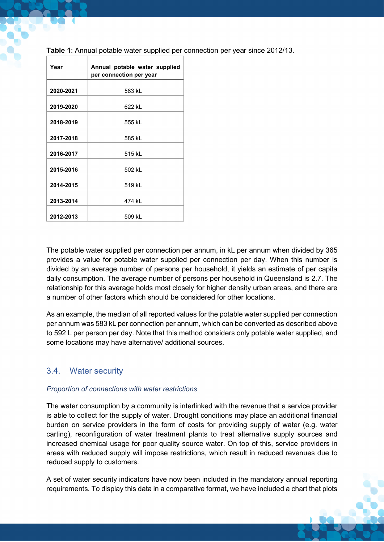| Year      | Annual potable water supplied<br>per connection per year |
|-----------|----------------------------------------------------------|
|           |                                                          |
| 2020-2021 | 583 kL                                                   |
| 2019-2020 | 622 kL                                                   |
| 2018-2019 | 555 kL                                                   |
| 2017-2018 | 585 kL                                                   |
| 2016-2017 | 515 kL                                                   |
| 2015-2016 | 502 kL                                                   |
| 2014-2015 | 519 kL                                                   |
| 2013-2014 | 474 kL                                                   |
| 2012-2013 | 509 kL                                                   |

**Table 1**: Annual potable water supplied per connection per year since 2012/13.

The potable water supplied per connection per annum, in kL per annum when divided by 365 provides a value for potable water supplied per connection per day. When this number is divided by an average number of persons per household, it yields an estimate of per capita daily consumption. The average number of persons per household in Queensland is 2.7. The relationship for this average holds most closely for higher density urban areas, and there are a number of other factors which should be considered for other locations.

As an example, the median of all reported values for the potable water supplied per connection per annum was 583 kL per connection per annum, which can be converted as described above to 592 L per person per day. Note that this method considers only potable water supplied, and some locations may have alternative/ additional sources.

# <span id="page-15-0"></span>3.4. Water security

### <span id="page-15-1"></span>*Proportion of connections with water restrictions*

The water consumption by a community is interlinked with the revenue that a service provider is able to collect for the supply of water. Drought conditions may place an additional financial burden on service providers in the form of costs for providing supply of water (e.g. water carting), reconfiguration of water treatment plants to treat alternative supply sources and increased chemical usage for poor quality source water. On top of this, service providers in areas with reduced supply will impose restrictions, which result in reduced revenues due to reduced supply to customers.

A set of water security indicators have now been included in the mandatory annual reporting requirements. To display this data in a comparative format, we have included a chart that plots